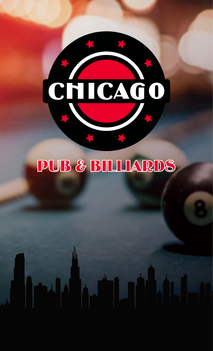# CHICAGO

# PUB & BILLIARDS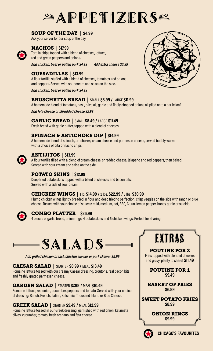# $A$ PPETIZERS

#### SOUP OF THE DAY | \$4.99

Ask your server for our soup of the day.

#### NACHOS | \$17.99

Tortilla chips topped with a blend of cheeses, lettuce, red and green peppers and onions.

Add chicken, beef or pulled pork \$4.99 Add extra cheese \$3.99

#### QUESADILLAS | \$13.99

A flour tortilla stuffed with a blend of cheeses, tomatoes, red onions and peppers. Served with sour cream and salsa on the side.

Add chicken, beef or pulled pork \$4.99

#### BRUSCHETTA BREAD | SMALL \$8.99 / LARGE \$11.99

A homemade blend of tomatoes, basil, olive oil, garlic and finely chopped onions all piled onto a garlic loaf.

Add feta cheese or shredded cheese \$2.99

#### GARLIC BREAD | SMALL \$8.49 / LARGE \$11.49

Fresh bread with garlic butter, topped with a blend of cheeses.

#### SPINACH & ARTICHOKE DIP | \$14.99

A homemade blend of spinach, artichokes, cream cheese and parmesan cheese, served bubbly warm with a choice of pita or nacho chips.

#### ANTIJITOS | \$13.99

A flour tortilla filled with a blend of cream cheese, shredded cheese, jalapeño and red peppers, then baked. Served with sour cream and salsa on the side.

#### POTATO SKINS | \$12.99

Deep fried potato skins topped with a blend of cheeses and bacon bits. Served with a side of sour cream.

#### CHICKEN WINGS | 1 lb. \$14.99 / 2 lbs. \$22.99 / 3 lbs. \$30.99

Plump chicken wings lightly breaded in flour and deep fried to perfection. Crisp veggies on the side with ranch or blue cheese. Tossed with your choice of sauces: mild, medium, hot, BBQ, Cajun, lemon pepper, honey garlic or suicide.



#### COMBO PLATTER | \$26.99

4 pieces of garlic bread, onion rings, 4 potato skins and 6 chicken wings. Perfect for sharing!



Add grilled chicken breast, chicken skewer or pork skewer \$5.99

#### CAESAR SALAD | STARTER \$8.99 / MEAL \$13.49

Romaine lettuce tossed with our creamy Caesar dressing, croutons, real bacon bits and freshly grated parmesan cheese.

#### GARDEN SALAD | STARTER \$7.99 / MEAL \$10.49

Romaine lettuce, red onion, cucumber, peppers and tomato. Served with your choice of dressing: Ranch, French, Italian, Balsamic, Thousand Island or Blue Cheese.

#### GREEK SALAD | STARTER \$9.49 / MEAL \$12.99

Romaine lettuce tossed in our Greek dressing, garnished with red onion, kalamata olives, cucumber, tomato, fresh oregano and feta cheese.





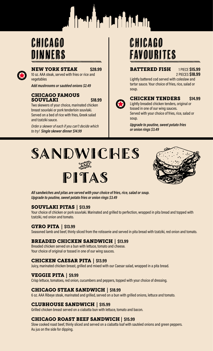

## CHICAGO DINNERS



#### **NEW YORK STEAK \$28.99**

10 oz. AAA steak, served with fries or rice and vegetables

Add mushrooms or sautéed onions \$2.49

#### CHICAGO FAMOUS **SOUVLAKI** \$18.99

Two skewers of your choice, marinated chicken breast souvlaki or pork tenderloin souvlaki. Served on a bed of rice with fries, Greek salad and tzatziki sauce.

Order a skewer of each if you can't decide which to try! Single skewer dinner \$14.99

## CHICAGO FAVOURITES

#### **BATTERED FISH 1 PIECE \$15.99** 2 PIECES \$18.99

Lightly battered cod served with coleslaw and tartar sauce. Your choice of fries, rice, salad or soup.



#### **CHICKEN TENDERS** \$14.99

Lightly breaded chicken tenders, original or tossed in one of our wing sauces. Served with your choice of fries, rice, salad or soup.

Upgrade to poutine, sweet potato fries or onion rings \$3.49





All sandwiches and pitas are served with your choice of fries, rice, salad or soup. Upgrade to poutine, sweet potato fries or onion rings \$3.49

#### SOUVLAKI PITAS | \$13.99

Your choice of chicken or pork souvlaki. Marinated and grilled to perfection, wrapped in pita bread and topped with tzatziki, red onion and tomato.

#### **GYRO PITA | \$13.99**

Seasoned lamb and beef, thinly sliced from the rotisserie and served in pita bread with tzatziki, red onion and tomato.

#### BREADED CHICKEN SANDWICH | \$13.99

Breaded chicken served on a bun with lettuce, tomato and cheese. Your choice of original or tossed in one of our wing sauces.

#### CHICKEN CAESAR PITA | \$13.99

Juicy, marinated chicken breast, grilled and mixed with our Caesar salad, wrapped in a pita bread.

#### VEGGIE PITA | \$9.99

Crisp lettuce, tomatoes, red onion, cucumbers and peppers, topped with your choice of dressing.

#### CHICAGO STEAK SANDWICH | \$18.99

6 oz. AAA Ribeye steak, marinated and grilled, served on a bun with grilled onions, lettuce and tomato.

#### CLUBHOUSE SANDWICH | \$15.99

Grilled chicken breast served on a ciabatta bun with lettuce, tomato and bacon.

#### CHICAGO ROAST BEEF SANDWICH | \$15.99

Slow cooked roast beef, thinly sliced and served on a ciabatta loaf with sautéed onions and green peppers. Au jus on the side for dipping.